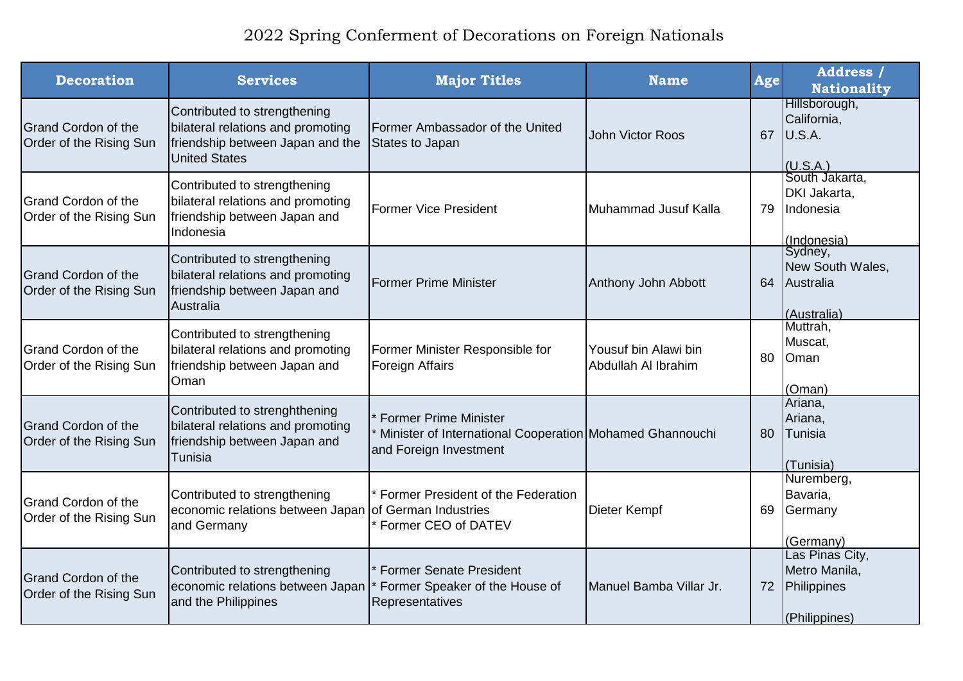| <b>Decoration</b>                                     | <b>Services</b>                                                                                                               | <b>Major Titles</b>                                                                                                | <b>Name</b>                                 | Age | <b>Address</b> /<br><b>Nationality</b>                           |
|-------------------------------------------------------|-------------------------------------------------------------------------------------------------------------------------------|--------------------------------------------------------------------------------------------------------------------|---------------------------------------------|-----|------------------------------------------------------------------|
| <b>Grand Cordon of the</b><br>Order of the Rising Sun | Contributed to strengthening<br>bilateral relations and promoting<br>friendship between Japan and the<br><b>United States</b> | Former Ambassador of the United<br>States to Japan                                                                 | John Victor Roos                            | 67  | Hillsborough,<br>California,<br>U.S.A.<br>(U.S.A.)               |
| Grand Cordon of the<br>Order of the Rising Sun        | Contributed to strengthening<br>bilateral relations and promoting<br>friendship between Japan and<br>Indonesia                | <b>IFormer Vice President</b>                                                                                      | Muhammad Jusuf Kalla                        | 79  | South Jakarta,<br>DKI Jakarta,<br>Indonesia<br>(Indonesia)       |
| <b>Grand Cordon of the</b><br>Order of the Rising Sun | Contributed to strengthening<br>bilateral relations and promoting<br>friendship between Japan and<br>Australia                | <b>Former Prime Minister</b>                                                                                       | Anthony John Abbott                         | 64  | Sydney,<br>New South Wales,<br>Australia<br>(Australia)          |
| Grand Cordon of the<br>Order of the Rising Sun        | Contributed to strengthening<br>bilateral relations and promoting<br>friendship between Japan and<br>Oman                     | Former Minister Responsible for<br><b>Foreign Affairs</b>                                                          | Yousuf bin Alawi bin<br>Abdullah Al Ibrahim | 80  | Muttrah,<br>Muscat,<br>Oman<br>(Oman)                            |
| <b>Grand Cordon of the</b><br>Order of the Rising Sun | Contributed to strenghthening<br>bilateral relations and promoting<br>friendship between Japan and<br>Tunisia                 | <b>Former Prime Minister</b><br>Minister of International Cooperation Mohamed Ghannouchi<br>and Foreign Investment |                                             | 80  | Ariana,<br>Ariana,<br>Tunisia<br>(Tunisia)                       |
| <b>Grand Cordon of the</b><br>Order of the Rising Sun | Contributed to strengthening<br>economic relations between Japan of German Industries<br>and Germany                          | Former President of the Federation<br>* Former CEO of DATEV                                                        | Dieter Kempf                                | 69  | Nuremberg,<br>Bavaria,<br>Germany<br>(Germany)                   |
| <b>Grand Cordon of the</b><br>Order of the Rising Sun | Contributed to strengthening<br>economic relations between Japan<br>and the Philippines                                       | <b>Former Senate President</b><br>Former Speaker of the House of<br>Representatives                                | Manuel Bamba Villar Jr.                     | 72  | Las Pinas City,<br>Metro Manila,<br>Philippines<br>(Philippines) |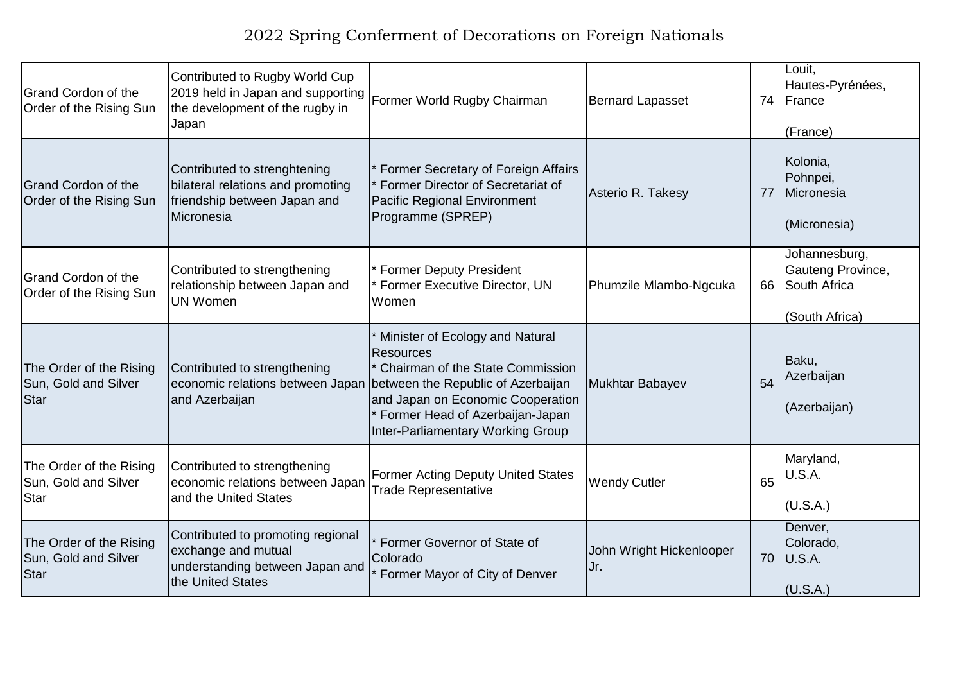| <b>Grand Cordon of the</b><br>Order of the Rising Sun          | Contributed to Rugby World Cup<br>2019 held in Japan and supporting<br>the development of the rugby in<br>Japan  | Former World Rugby Chairman                                                                                                                                                                                                                                                | <b>Bernard Lapasset</b>         | 74 | Louit.<br>Hautes-Pyrénées,<br>France<br>(France)                     |
|----------------------------------------------------------------|------------------------------------------------------------------------------------------------------------------|----------------------------------------------------------------------------------------------------------------------------------------------------------------------------------------------------------------------------------------------------------------------------|---------------------------------|----|----------------------------------------------------------------------|
| <b>Grand Cordon of the</b><br>Order of the Rising Sun          | Contributed to strenghtening<br>bilateral relations and promoting<br>friendship between Japan and<br>Micronesia  | Former Secretary of Foreign Affairs<br>Former Director of Secretariat of<br>Pacific Regional Environment<br>Programme (SPREP)                                                                                                                                              | Asterio R. Takesy               | 77 | Kolonia,<br>Pohnpei,<br>Micronesia<br>(Micronesia)                   |
| <b>I</b> Grand Cordon of the<br>Order of the Rising Sun        | Contributed to strengthening<br>relationship between Japan and<br><b>UN Women</b>                                | * Former Deputy President<br>Former Executive Director, UN<br>Women                                                                                                                                                                                                        | Phumzile Mlambo-Ngcuka          | 66 | Johannesburg,<br>Gauteng Province,<br>South Africa<br>(South Africa) |
| The Order of the Rising<br>Sun, Gold and Silver<br>Star        | Contributed to strengthening<br>and Azerbaijan                                                                   | * Minister of Ecology and Natural<br>Resources<br>* Chairman of the State Commission<br>economic relations between Japan between the Republic of Azerbaijan<br>and Japan on Economic Cooperation<br>* Former Head of Azerbaijan-Japan<br>Inter-Parliamentary Working Group | Mukhtar Babayev                 | 54 | Baku,<br>Azerbaijan<br>(Azerbaijan)                                  |
| The Order of the Rising<br>Sun, Gold and Silver<br><b>Star</b> | Contributed to strengthening<br>economic relations between Japan<br>and the United States                        | <b>Former Acting Deputy United States</b><br><b>Trade Representative</b>                                                                                                                                                                                                   | <b>Wendy Cutler</b>             | 65 | Maryland,<br>U.S.A.<br>(U.S.A.)                                      |
| The Order of the Rising<br>Sun, Gold and Silver<br>Star        | Contributed to promoting regional<br>exchange and mutual<br>understanding between Japan and<br>the United States | Former Governor of State of<br>Colorado<br>Former Mayor of City of Denver                                                                                                                                                                                                  | John Wright Hickenlooper<br>Ur. |    | Denver,<br>Colorado,<br>70 U.S.A.<br>(U.S.A.)                        |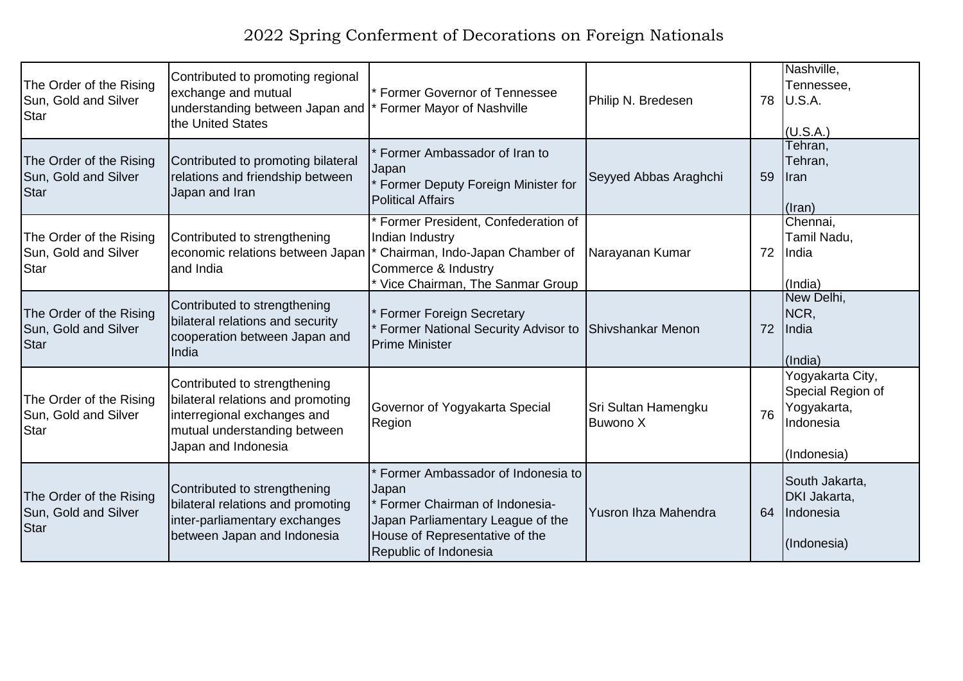| The Order of the Rising<br>Sun, Gold and Silver<br>Star         | Contributed to promoting regional<br>exchange and mutual<br>understanding between Japan and  * Former Mayor of Nashville<br>the United States           | Former Governor of Tennessee                                                                                                                                                | Philip N. Bredesen                     | 78 | Nashville,<br>Tennessee,<br>U.S.A.<br>(U.S.A.)                                   |
|-----------------------------------------------------------------|---------------------------------------------------------------------------------------------------------------------------------------------------------|-----------------------------------------------------------------------------------------------------------------------------------------------------------------------------|----------------------------------------|----|----------------------------------------------------------------------------------|
| The Order of the Rising<br>Sun, Gold and Silver<br>Star         | Contributed to promoting bilateral<br>relations and friendship between<br>Japan and Iran                                                                | Former Ambassador of Iran to<br>Japan<br>Former Deputy Foreign Minister for<br><b>Political Affairs</b>                                                                     | Seyyed Abbas Araghchi                  | 59 | Tehran,<br>Tehran,<br><b>I</b> ran<br>$($ lran $)$                               |
| The Order of the Rising<br>Sun, Gold and Silver<br><b>S</b> tar | Contributed to strengthening<br>economic relations between Japan<br>and India                                                                           | Former President, Confederation of<br>Indian Industry<br>Chairman, Indo-Japan Chamber of<br>Commerce & Industry<br>Vice Chairman, The Sanmar Group                          | Narayanan Kumar                        | 72 | Chennai,<br>Tamil Nadu,<br>India<br>(India)                                      |
| The Order of the Rising<br>Sun, Gold and Silver<br><b>S</b> tar | Contributed to strengthening<br>bilateral relations and security<br>cooperation between Japan and<br>India                                              | <b>Former Foreign Secretary</b><br>Former National Security Advisor to<br><b>Prime Minister</b>                                                                             | Shivshankar Menon                      | 72 | New Delhi,<br>NCR,<br>India<br>(India)                                           |
| The Order of the Rising<br>Sun, Gold and Silver<br><b>Star</b>  | Contributed to strengthening<br>bilateral relations and promoting<br>interregional exchanges and<br>mutual understanding between<br>Japan and Indonesia | Governor of Yogyakarta Special<br>Region                                                                                                                                    | Sri Sultan Hamengku<br><b>Buwono X</b> | 76 | Yogyakarta City,<br>Special Region of<br>Yogyakarta,<br>Indonesia<br>(Indonesia) |
| The Order of the Rising<br>Sun, Gold and Silver<br>Star         | Contributed to strengthening<br>bilateral relations and promoting<br>inter-parliamentary exchanges<br>between Japan and Indonesia                       | Former Ambassador of Indonesia to<br>Japan<br>Former Chairman of Indonesia-<br>Japan Parliamentary League of the<br>House of Representative of the<br>Republic of Indonesia | Yusron Ihza Mahendra                   | 64 | South Jakarta,<br>DKI Jakarta,<br>Indonesia<br>(Indonesia)                       |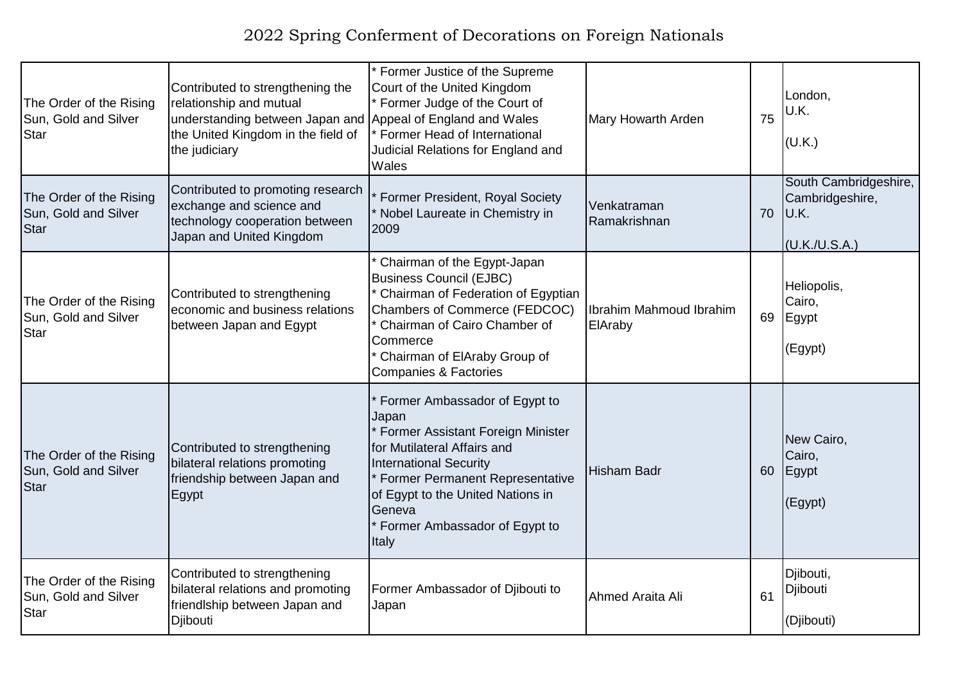| The Order of the Rising<br>Sun, Gold and Silver<br>Star        | Contributed to strengthening the<br>relationship and mutual<br>understanding between Japan and Appeal of England and Wales<br>the United Kingdom in the field of<br>the judiciary | * Former Justice of the Supreme<br>Court of the United Kingdom<br>* Former Judge of the Court of<br>* Former Head of International<br>Judicial Relations for England and<br>Wales                                                                                             | Mary Howarth Arden                  | 75 | London,<br>U.K.<br>(U.K.)                                         |
|----------------------------------------------------------------|-----------------------------------------------------------------------------------------------------------------------------------------------------------------------------------|-------------------------------------------------------------------------------------------------------------------------------------------------------------------------------------------------------------------------------------------------------------------------------|-------------------------------------|----|-------------------------------------------------------------------|
| The Order of the Rising<br>Sun, Gold and Silver<br>Star        | Contributed to promoting research<br>exchange and science and<br>technology cooperation between<br>Japan and United Kingdom                                                       | Former President, Royal Society<br>* Nobel Laureate in Chemistry in<br>2009                                                                                                                                                                                                   | Venkatraman<br>Ramakrishnan         | 70 | South Cambridgeshire,<br>Cambridgeshire,<br>U.K.<br>(U.K./U.S.A.) |
| The Order of the Rising<br>Sun, Gold and Silver<br><b>Star</b> | Contributed to strengthening<br>economic and business relations<br>between Japan and Egypt                                                                                        | * Chairman of the Egypt-Japan<br><b>Business Council (EJBC)</b><br>* Chairman of Federation of Egyptian<br>Chambers of Commerce (FEDCOC)<br>* Chairman of Cairo Chamber of<br>Commerce<br>* Chairman of ElAraby Group of<br><b>Companies &amp; Factories</b>                  | Ilbrahim Mahmoud Ibrahim<br>ElAraby | 69 | Heliopolis,<br>Cairo,<br>Egypt<br>(Egypt)                         |
| The Order of the Rising<br>Sun, Gold and Silver<br>Star        | Contributed to strengthening<br>bilateral relations promoting<br>friendship between Japan and<br>Egypt                                                                            | Former Ambassador of Egypt to<br>Japan<br>* Former Assistant Foreign Minister<br>for Mutilateral Affairs and<br><b>International Security</b><br>* Former Permanent Representative<br>of Egypt to the United Nations in<br>Geneva<br>* Former Ambassador of Egypt to<br>Italy | Hisham Badr                         | 60 | New Cairo,<br>Cairo,<br>Egypt<br>(Egypt)                          |
| The Order of the Rising<br>Sun, Gold and Silver<br>Star        | Contributed to strengthening<br>bilateral relations and promoting<br>friendlship between Japan and<br>Djibouti                                                                    | Former Ambassador of Djibouti to<br>Japan                                                                                                                                                                                                                                     | Ahmed Araita Ali                    | 61 | Djibouti,<br>Djibouti<br>(Djibouti)                               |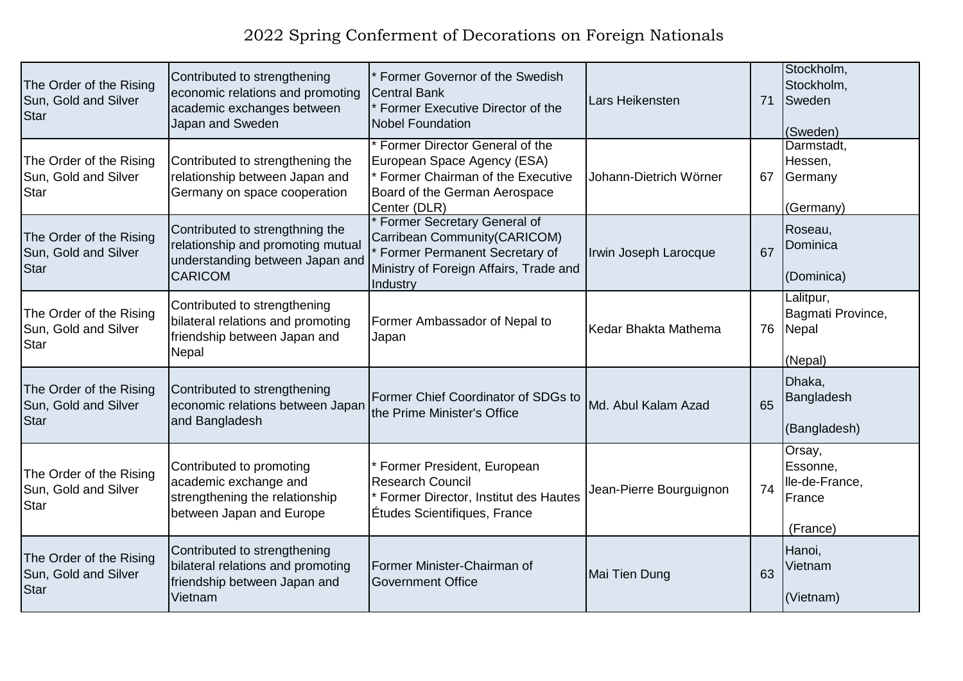| The Order of the Rising<br>Sun, Gold and Silver<br><b>Star</b>  | Contributed to strengthening<br>economic relations and promoting<br>academic exchanges between<br>Japan and Sweden        | Former Governor of the Swedish<br>Central Bank<br>* Former Executive Director of the<br><b>Nobel Foundation</b>                                        | Lars Heikensten         | 71 | Stockholm,<br>Stockholm,<br>Sweden<br>(Sweden)             |
|-----------------------------------------------------------------|---------------------------------------------------------------------------------------------------------------------------|--------------------------------------------------------------------------------------------------------------------------------------------------------|-------------------------|----|------------------------------------------------------------|
| The Order of the Rising<br>Sun, Gold and Silver<br>Star         | Contributed to strengthening the<br>relationship between Japan and<br>Germany on space cooperation                        | * Former Director General of the<br>European Space Agency (ESA)<br>* Former Chairman of the Executive<br>Board of the German Aerospace<br>Center (DLR) | Johann-Dietrich Wörner  | 67 | Darmstadt,<br>Hessen,<br>Germany<br>(Germany)              |
| The Order of the Rising<br>Sun, Gold and Silver<br>Star         | Contributed to strengthning the<br>relationship and promoting mutual<br>understanding between Japan and<br><b>CARICOM</b> | Former Secretary General of<br>Carribean Community(CARICOM)<br>Former Permanent Secretary of<br>Ministry of Foreign Affairs, Trade and<br>Industry     | Irwin Joseph Larocque   | 67 | Roseau,<br>Dominica<br>(Dominica)                          |
| The Order of the Rising<br>Sun, Gold and Silver<br><b>Star</b>  | Contributed to strengthening<br>bilateral relations and promoting<br>friendship between Japan and<br>Nepal                | Former Ambassador of Nepal to<br>Japan                                                                                                                 | Kedar Bhakta Mathema    | 76 | Lalitpur,<br>Bagmati Province,<br>Nepal<br>(Nepal)         |
| The Order of the Rising<br>Sun, Gold and Silver<br>Star         | Contributed to strengthening<br>economic relations between Japan<br>and Bangladesh                                        | Former Chief Coordinator of SDGs to<br>the Prime Minister's Office                                                                                     | Md. Abul Kalam Azad     | 65 | Dhaka,<br>Bangladesh<br>(Bangladesh)                       |
| The Order of the Rising<br>Sun, Gold and Silver<br><b>S</b> tar | Contributed to promoting<br>academic exchange and<br>strengthening the relationship<br>between Japan and Europe           | * Former President, European<br><b>Research Council</b><br>Former Director, Institut des Hautes<br>Études Scientifiques, France                        | Jean-Pierre Bourguignon | 74 | Orsay,<br>Essonne,<br>lle-de-France,<br>France<br>(France) |
| The Order of the Rising<br>Sun, Gold and Silver<br>Star         | Contributed to strengthening<br>bilateral relations and promoting<br>friendship between Japan and<br>Vietnam              | Former Minister-Chairman of<br><b>Government Office</b>                                                                                                | Mai Tien Dung           | 63 | Hanoi,<br>Vietnam<br>(Vietnam)                             |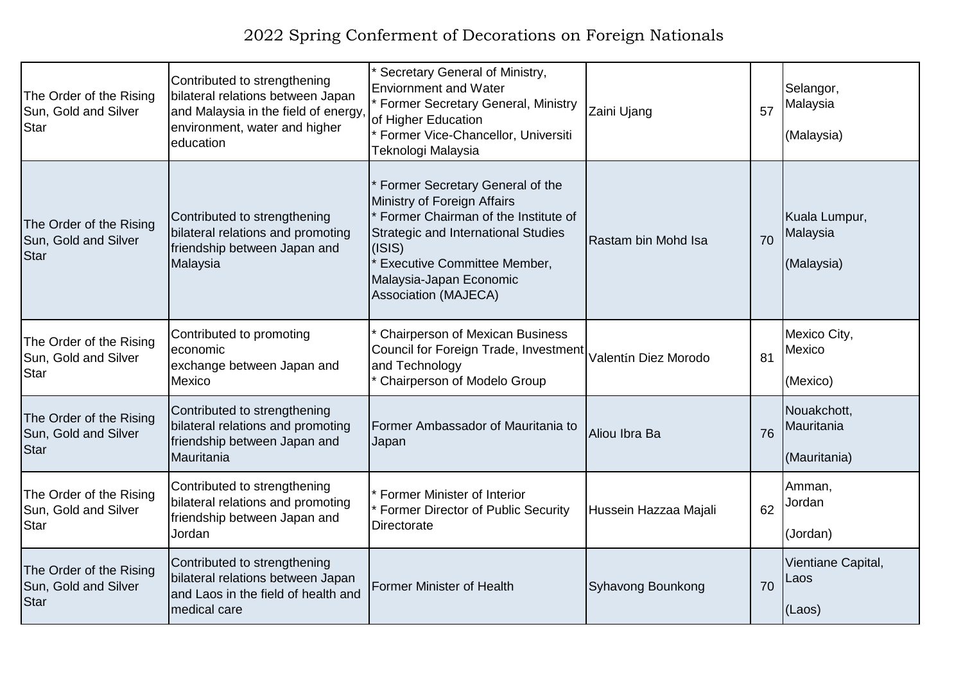| The Order of the Rising<br>Sun, Gold and Silver<br>Star        | Contributed to strengthening<br>bilateral relations between Japan<br>and Malaysia in the field of energy<br>environment, water and higher<br>education | Secretary General of Ministry,<br><b>Enviornment and Water</b><br>* Former Secretary General, Ministry<br>of Higher Education<br>* Former Vice-Chancellor, Universiti<br>Teknologi Malaysia                                                              | Zaini Ujang           | 57 | Selangor,<br>Malaysia<br>(Malaysia)       |
|----------------------------------------------------------------|--------------------------------------------------------------------------------------------------------------------------------------------------------|----------------------------------------------------------------------------------------------------------------------------------------------------------------------------------------------------------------------------------------------------------|-----------------------|----|-------------------------------------------|
| The Order of the Rising<br>Sun, Gold and Silver<br><b>Star</b> | Contributed to strengthening<br>bilateral relations and promoting<br>friendship between Japan and<br>Malaysia                                          | Former Secretary General of the<br>Ministry of Foreign Affairs<br>* Former Chairman of the Institute of<br>Strategic and International Studies<br>(ISIS)<br><b>Executive Committee Member,</b><br>Malaysia-Japan Economic<br><b>Association (MAJECA)</b> | Rastam bin Mohd Isa   | 70 | Kuala Lumpur,<br>Malaysia<br>(Malaysia)   |
| The Order of the Rising<br>Sun, Gold and Silver<br><b>Star</b> | Contributed to promoting<br>economic<br>exchange between Japan and<br>Mexico                                                                           | <b>Chairperson of Mexican Business</b><br>Council for Foreign Trade, Investment<br>and Technology<br>* Chairperson of Modelo Group                                                                                                                       | Valentín Diez Morodo  | 81 | Mexico City,<br>Mexico<br>(Mexico)        |
| The Order of the Rising<br>Sun, Gold and Silver<br><b>Star</b> | Contributed to strengthening<br>bilateral relations and promoting<br>friendship between Japan and<br>Mauritania                                        | Former Ambassador of Mauritania to<br>Japan                                                                                                                                                                                                              | Aliou Ibra Ba         | 76 | Nouakchott,<br>Mauritania<br>(Mauritania) |
| The Order of the Rising<br>Sun, Gold and Silver<br><b>Star</b> | Contributed to strengthening<br>bilateral relations and promoting<br>friendship between Japan and<br>Jordan                                            | Former Minister of Interior<br>Former Director of Public Security<br><b>Directorate</b>                                                                                                                                                                  | Hussein Hazzaa Majali | 62 | Amman,<br>Jordan<br>(Jordan)              |
| The Order of the Rising<br>Sun, Gold and Silver<br><b>Star</b> | Contributed to strengthening<br>bilateral relations between Japan<br>and Laos in the field of health and<br>medical care                               | <b>Former Minister of Health</b>                                                                                                                                                                                                                         | Syhavong Bounkong     | 70 | Vientiane Capital,<br>Laos<br>(Laos)      |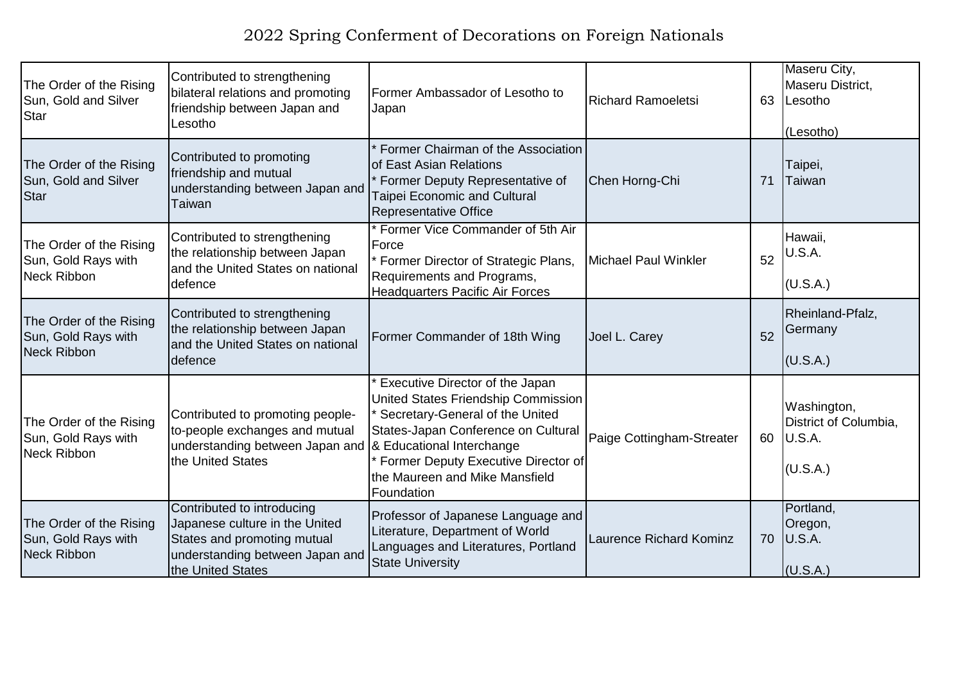| The Order of the Rising<br>Sun, Gold and Silver<br>Star              | Contributed to strengthening<br>bilateral relations and promoting<br>friendship between Japan and<br>Lesotho                                          | Former Ambassador of Lesotho to<br>Japan                                                                                                                                                                                                | Richard Ramoeletsi             | 63 | Maseru City,<br>Maseru District,<br>Lesotho<br>(Lesotho)   |
|----------------------------------------------------------------------|-------------------------------------------------------------------------------------------------------------------------------------------------------|-----------------------------------------------------------------------------------------------------------------------------------------------------------------------------------------------------------------------------------------|--------------------------------|----|------------------------------------------------------------|
| The Order of the Rising<br>Sun, Gold and Silver<br>Star              | Contributed to promoting<br>friendship and mutual<br>understanding between Japan and<br>Taiwan                                                        | Former Chairman of the Association<br>of East Asian Relations<br>* Former Deputy Representative of<br><b>Taipei Economic and Cultural</b><br>Representative Office                                                                      | Chen Horng-Chi                 | 71 | Taipei,<br>Taiwan                                          |
| The Order of the Rising<br>Sun, Gold Rays with<br>Neck Ribbon        | Contributed to strengthening<br>the relationship between Japan<br>and the United States on national<br>defence                                        | Former Vice Commander of 5th Air<br>Force<br>Former Director of Strategic Plans,<br>Requirements and Programs,<br><b>Headquarters Pacific Air Forces</b>                                                                                | Michael Paul Winkler           | 52 | Hawaii,<br>U.S.A.<br>(U.S.A.)                              |
| The Order of the Rising<br>Sun, Gold Rays with<br>Neck Ribbon        | Contributed to strengthening<br>the relationship between Japan<br>and the United States on national<br>defence                                        | Former Commander of 18th Wing                                                                                                                                                                                                           | Joel L. Carey                  | 52 | Rheinland-Pfalz,<br>Germany<br>(U.S.A.)                    |
| The Order of the Rising<br>Sun, Gold Rays with<br><b>Neck Ribbon</b> | Contributed to promoting people-<br>to-people exchanges and mutual<br>understanding between Japan and  & Educational Interchange<br>the United States | Executive Director of the Japan<br>United States Friendship Commission<br>Secretary-General of the United<br>States-Japan Conference on Cultural<br>Former Deputy Executive Director of<br>the Maureen and Mike Mansfield<br>Foundation | Paige Cottingham-Streater      | 60 | Washington,<br>District of Columbia,<br>U.S.A.<br>(U.S.A.) |
| The Order of the Rising<br>Sun, Gold Rays with<br>Neck Ribbon        | Contributed to introducing<br>Japanese culture in the United<br>States and promoting mutual<br>understanding between Japan and<br>the United States   | Professor of Japanese Language and<br>Literature, Department of World<br>Languages and Literatures, Portland<br><b>State University</b>                                                                                                 | <b>Laurence Richard Kominz</b> | 70 | Portland,<br>Oregon,<br>U.S.A.<br>(U.S.A.)                 |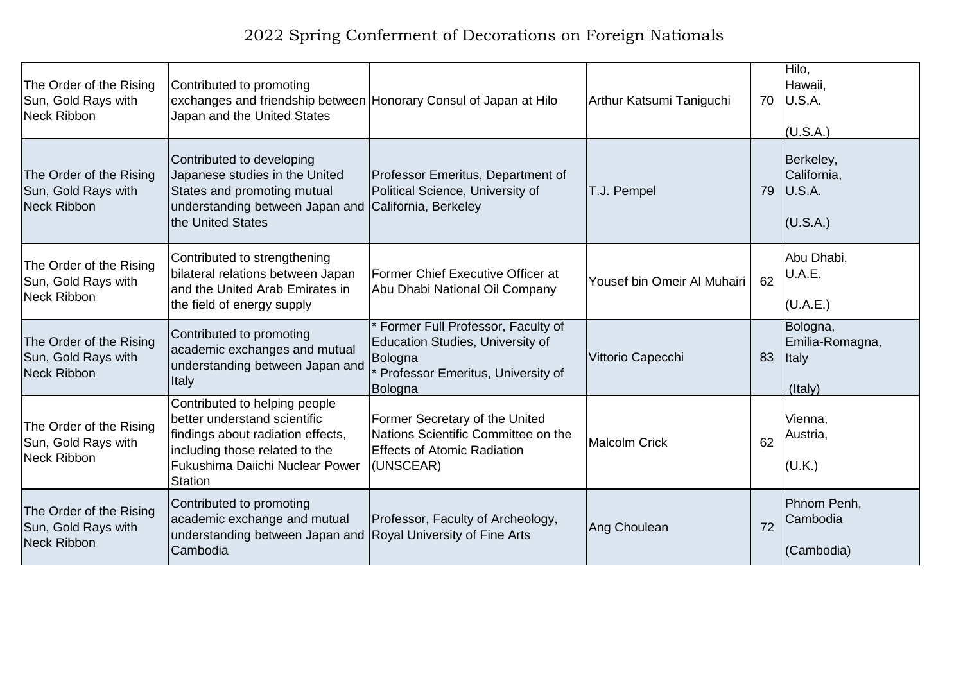| The Order of the Rising<br>Sun, Gold Rays with<br><b>Neck Ribbon</b> | Contributed to promoting<br>exchanges and friendship between Honorary Consul of Japan at Hilo<br>Japan and the United States                                                              |                                                                                                                                  | Arthur Katsumi Taniguchi    |    | Hilo,<br>Hawaii,<br>70 <b>U.S.A.</b><br>(U.S.A.) |
|----------------------------------------------------------------------|-------------------------------------------------------------------------------------------------------------------------------------------------------------------------------------------|----------------------------------------------------------------------------------------------------------------------------------|-----------------------------|----|--------------------------------------------------|
| The Order of the Rising<br>Sun, Gold Rays with<br><b>Neck Ribbon</b> | Contributed to developing<br>Japanese studies in the United<br>States and promoting mutual<br>understanding between Japan and California, Berkeley<br>the United States                   | Professor Emeritus, Department of<br>Political Science, University of                                                            | T.J. Pempel                 | 79 | Berkeley,<br>California,<br>U.S.A.<br>(U.S.A.)   |
| The Order of the Rising<br>Sun, Gold Rays with<br><b>Neck Ribbon</b> | Contributed to strengthening<br>bilateral relations between Japan<br>and the United Arab Emirates in<br>the field of energy supply                                                        | Former Chief Executive Officer at<br>Abu Dhabi National Oil Company                                                              | Yousef bin Omeir Al Muhairi | 62 | Abu Dhabi,<br>U.A.E.<br>(U.A.E.)                 |
| The Order of the Rising<br>Sun, Gold Rays with<br><b>Neck Ribbon</b> | Contributed to promoting<br>academic exchanges and mutual<br>understanding between Japan and<br>Italy                                                                                     | Former Full Professor, Faculty of<br>Education Studies, University of<br>Bologna<br>Professor Emeritus, University of<br>Bologna | Vittorio Capecchi           | 83 | Bologna,<br>Emilia-Romagna,<br>Italy<br>(Italy)  |
| The Order of the Rising<br>Sun, Gold Rays with<br><b>Neck Ribbon</b> | Contributed to helping people<br>better understand scientific<br>findings about radiation effects,<br>including those related to the<br>Fukushima Daiichi Nuclear Power<br><b>Station</b> | Former Secretary of the United<br>Nations Scientific Committee on the<br><b>Effects of Atomic Radiation</b><br>(UNSCEAR)         | Malcolm Crick               | 62 | Vienna,<br>Austria,<br>(U.K.)                    |
| The Order of the Rising<br>Sun, Gold Rays with<br><b>Neck Ribbon</b> | Contributed to promoting<br>academic exchange and mutual<br>understanding between Japan and Royal University of Fine Arts<br>Cambodia                                                     | Professor, Faculty of Archeology,                                                                                                | Ang Choulean                | 72 | Phnom Penh,<br>Cambodia<br>(Cambodia)            |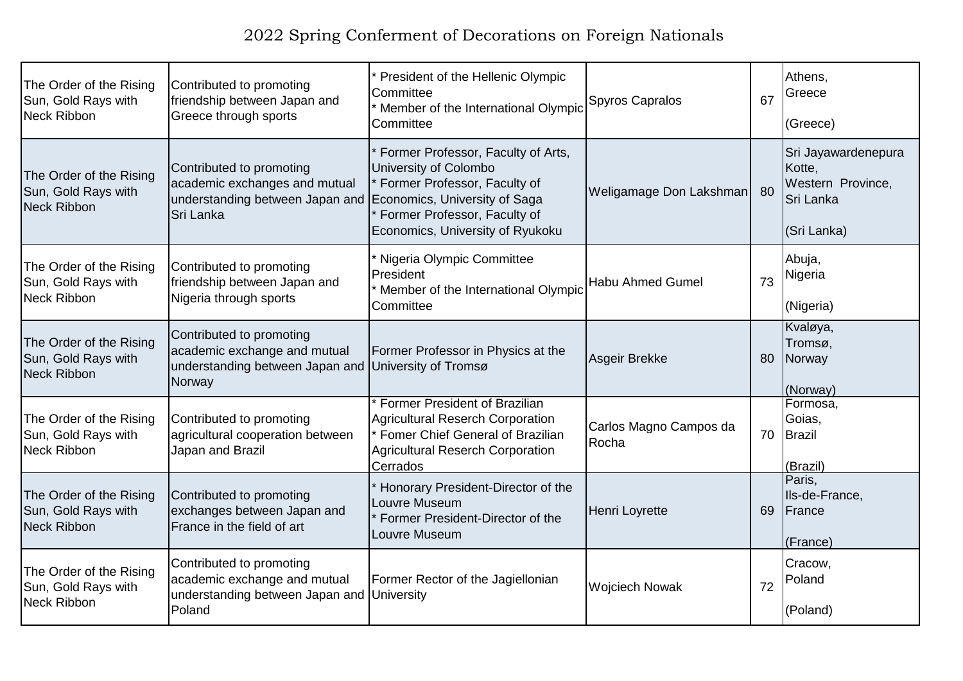| The Order of the Rising<br>Sun, Gold Rays with<br>Neck Ribbon | Contributed to promoting<br>friendship between Japan and<br>Greece through sports                                          | President of the Hellenic Olympic<br>Committee<br>* Member of the International Olympic<br>Committee                                                                                             | Spyros Capralos                 | 67 | Athens,<br>Greece<br>(Greece)                                                  |
|---------------------------------------------------------------|----------------------------------------------------------------------------------------------------------------------------|--------------------------------------------------------------------------------------------------------------------------------------------------------------------------------------------------|---------------------------------|----|--------------------------------------------------------------------------------|
| The Order of the Rising<br>Sun, Gold Rays with<br>Neck Ribbon | Contributed to promoting<br>academic exchanges and mutual<br>understanding between Japan and<br>Sri Lanka                  | Former Professor, Faculty of Arts,<br>University of Colombo<br>Former Professor, Faculty of<br>Economics, University of Saga<br>Former Professor, Faculty of<br>Economics, University of Ryukoku | Weligamage Don Lakshman         | 80 | Sri Jayawardenepura<br>Kotte,<br>Western Province,<br>Sri Lanka<br>(Sri Lanka) |
| The Order of the Rising<br>Sun, Gold Rays with<br>Neck Ribbon | Contributed to promoting<br>friendship between Japan and<br>Nigeria through sports                                         | * Nigeria Olympic Committee<br>President<br>* Member of the International Olympic<br>Committee                                                                                                   | <b>Habu Ahmed Gumel</b>         | 73 | Abuja,<br>Nigeria<br>(Nigeria)                                                 |
| The Order of the Rising<br>Sun, Gold Rays with<br>Neck Ribbon | Contributed to promoting<br>academic exchange and mutual<br>understanding between Japan and University of Tromsø<br>Norway | Former Professor in Physics at the                                                                                                                                                               | Asgeir Brekke                   | 80 | Kvaløya,<br>Tromsø,<br>Norway<br>(Norway)                                      |
| The Order of the Rising<br>Sun, Gold Rays with<br>Neck Ribbon | Contributed to promoting<br>agricultural cooperation between<br>Japan and Brazil                                           | Former President of Brazilian<br>Agricultural Reserch Corporation<br>* Fomer Chief General of Brazilian<br>Agricultural Reserch Corporation<br>Cerrados                                          | Carlos Magno Campos da<br>Rocha |    | Formosa,<br>Goias,<br>70 Brazil<br>(Brazil)                                    |
| The Order of the Rising<br>Sun, Gold Rays with<br>Neck Ribbon | Contributed to promoting<br>exchanges between Japan and<br>France in the field of art                                      | Honorary President-Director of the<br>Louvre Museum<br>Former President-Director of the<br>Louvre Museum                                                                                         | Henri Loyrette                  | 69 | Paris,<br>Ils-de-France,<br>France<br>(France)                                 |
| The Order of the Rising<br>Sun, Gold Rays with<br>Neck Ribbon | Contributed to promoting<br>academic exchange and mutual<br>understanding between Japan and University<br>Poland           | Former Rector of the Jagiellonian                                                                                                                                                                | <b>Wojciech Nowak</b>           | 72 | Cracow,<br>Poland<br>(Poland)                                                  |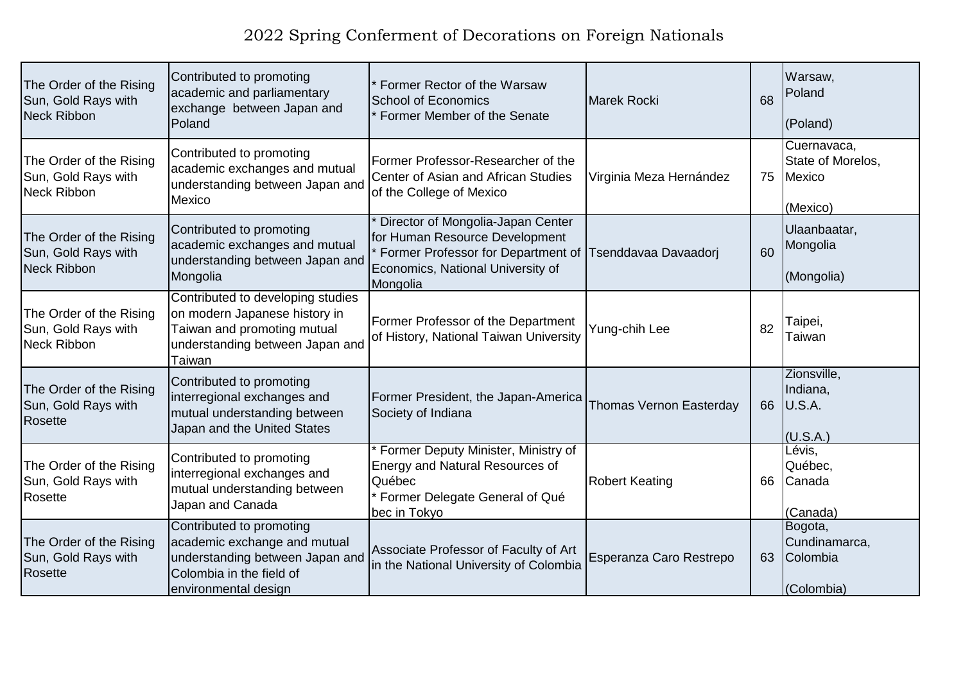| The Order of the Rising<br>Sun, Gold Rays with<br>Neck Ribbon | Contributed to promoting<br>academic and parliamentary<br>exchange between Japan and<br>Poland                                                  | Former Rector of the Warsaw<br><b>School of Economics</b><br>Former Member of the Senate                                                                   | <b>Marek Rocki</b>      | 68 | Warsaw,<br>Poland<br>(Poland)                          |
|---------------------------------------------------------------|-------------------------------------------------------------------------------------------------------------------------------------------------|------------------------------------------------------------------------------------------------------------------------------------------------------------|-------------------------|----|--------------------------------------------------------|
| The Order of the Rising<br>Sun, Gold Rays with<br>Neck Ribbon | Contributed to promoting<br>academic exchanges and mutual<br>understanding between Japan and<br>Mexico                                          | Former Professor-Researcher of the<br>Center of Asian and African Studies<br>of the College of Mexico                                                      | Virginia Meza Hernández | 75 | Cuernavaca,<br>State of Morelos,<br>Mexico<br>(Mexico) |
| The Order of the Rising<br>Sun, Gold Rays with<br>Neck Ribbon | Contributed to promoting<br>academic exchanges and mutual<br>understanding between Japan and<br>Mongolia                                        | Director of Mongolia-Japan Center<br>for Human Resource Development<br>Former Professor for Department of<br>Economics, National University of<br>Mongolia | Tsenddavaa Davaadorj    | 60 | Ulaanbaatar,<br>Mongolia<br>(Mongolia)                 |
| The Order of the Rising<br>Sun, Gold Rays with<br>Neck Ribbon | Contributed to developing studies<br>on modern Japanese history in<br>Taiwan and promoting mutual<br>understanding between Japan and<br>Taiwan  | Former Professor of the Department<br>of History, National Taiwan University                                                                               | Yung-chih Lee           | 82 | Taipei,<br>Taiwan                                      |
| The Order of the Rising<br>Sun, Gold Rays with<br>Rosette     | Contributed to promoting<br>interregional exchanges and<br>mutual understanding between<br>Japan and the United States                          | Former President, the Japan-America<br>Society of Indiana                                                                                                  | Thomas Vernon Easterday | 66 | Zionsville,<br>Indiana,<br>U.S.A.<br>(U.S.A.)          |
| The Order of the Rising<br>Sun, Gold Rays with<br>Rosette     | Contributed to promoting<br>interregional exchanges and<br>mutual understanding between<br>Japan and Canada                                     | Former Deputy Minister, Ministry of<br>Energy and Natural Resources of<br>Québec<br>Former Delegate General of Qué<br>bec in Tokyo                         | <b>Robert Keating</b>   | 66 | Lévis,<br>Québec,<br>Canada<br>(Canada)                |
| The Order of the Rising<br>Sun, Gold Rays with<br>Rosette     | Contributed to promoting<br>academic exchange and mutual<br>understanding between Japan and<br>Colombia in the field of<br>environmental design | Associate Professor of Faculty of Art<br>in the National University of Colombia                                                                            | Esperanza Caro Restrepo | 63 | Bogota,<br>Cundinamarca,<br>Colombia<br>(Colombia)     |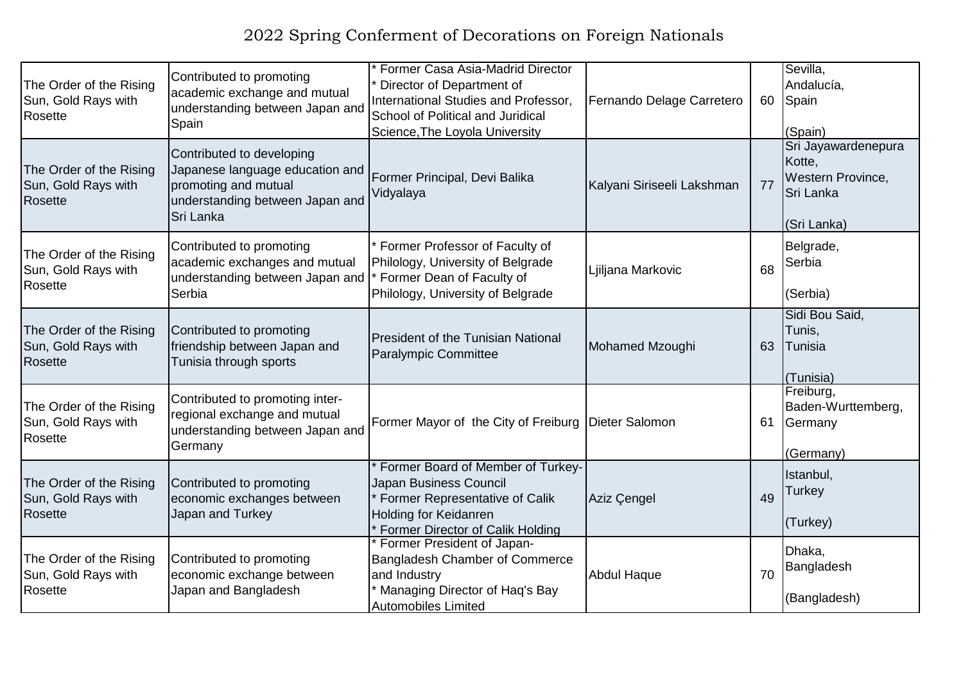| The Order of the Rising<br>Sun, Gold Rays with<br>Rosette        | Contributed to promoting<br>academic exchange and mutual<br>understanding between Japan and<br>Spain                                 | Former Casa Asia-Madrid Director<br>Director of Department of<br>International Studies and Professor,<br>School of Political and Juridical<br>Science, The Loyola University | Fernando Delage Carretero  | 60 | Sevilla,<br>Andalucía,<br>Spain<br>(Spain)                                     |
|------------------------------------------------------------------|--------------------------------------------------------------------------------------------------------------------------------------|------------------------------------------------------------------------------------------------------------------------------------------------------------------------------|----------------------------|----|--------------------------------------------------------------------------------|
| The Order of the Rising<br>Sun, Gold Rays with<br>Rosette        | Contributed to developing<br>Japanese language education and<br>promoting and mutual<br>understanding between Japan and<br>Sri Lanka | Former Principal, Devi Balika<br>Vidyalaya                                                                                                                                   | Kalyani Siriseeli Lakshman | 77 | Sri Jayawardenepura<br>Kotte,<br>Western Province,<br>Sri Lanka<br>(Sri Lanka) |
| The Order of the Rising<br>Sun, Gold Rays with<br>Rosette        | Contributed to promoting<br>academic exchanges and mutual<br>understanding between Japan and<br>Serbia                               | Former Professor of Faculty of<br>Philology, University of Belgrade<br>Former Dean of Faculty of<br>Philology, University of Belgrade                                        | Ljiljana Markovic          | 68 | Belgrade,<br>Serbia<br>(Serbia)                                                |
| The Order of the Rising<br>Sun, Gold Rays with<br><b>Rosette</b> | Contributed to promoting<br>friendship between Japan and<br>Tunisia through sports                                                   | <b>President of the Tunisian National</b><br><b>Paralympic Committee</b>                                                                                                     | Mohamed Mzoughi            | 63 | Sidi Bou Said,<br>Tunis,<br>Tunisia<br>(Tunisia)                               |
| The Order of the Rising<br>Sun, Gold Rays with<br>Rosette        | Contributed to promoting inter-<br>regional exchange and mutual<br>understanding between Japan and<br>Germany                        | Former Mayor of the City of Freiburg Dieter Salomon                                                                                                                          |                            | 61 | Freiburg,<br>Baden-Wurttemberg,<br>Germany<br>(Germany)                        |
| The Order of the Rising<br>Sun, Gold Rays with<br><b>Rosette</b> | Contributed to promoting<br>economic exchanges between<br>Japan and Turkey                                                           | Former Board of Member of Turkey-<br>Japan Business Council<br>Former Representative of Calik<br>Holding for Keidanren<br>Former Director of Calik Holding                   | Aziz Çengel                | 49 | Istanbul,<br>Turkey<br>(Turkey)                                                |
| The Order of the Rising<br>Sun, Gold Rays with<br>Rosette        | Contributed to promoting<br>economic exchange between<br>Japan and Bangladesh                                                        | Former President of Japan-<br>Bangladesh Chamber of Commerce<br>and Industry<br>* Managing Director of Haq's Bay<br><b>Automobiles Limited</b>                               | <b>Abdul Haque</b>         | 70 | Dhaka,<br>Bangladesh<br>(Bangladesh)                                           |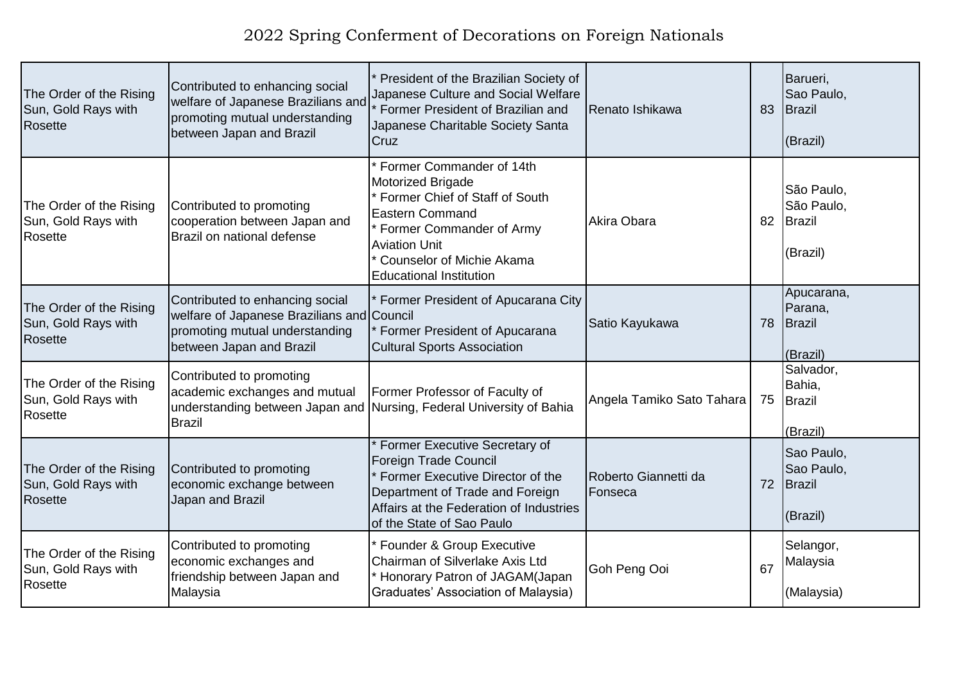| The Order of the Rising<br>Sun, Gold Rays with<br>Rosette        | Contributed to enhancing social<br>welfare of Japanese Brazilians and<br>promoting mutual understanding<br>between Japan and Brazil         | President of the Brazilian Society of<br>Japanese Culture and Social Welfare<br>Former President of Brazilian and<br>Japanese Charitable Society Santa<br>Cruz                                                                              | Renato Ishikawa                 | 83 | Barueri,<br>Sao Paulo,<br>Brazil<br>(Brazil)          |
|------------------------------------------------------------------|---------------------------------------------------------------------------------------------------------------------------------------------|---------------------------------------------------------------------------------------------------------------------------------------------------------------------------------------------------------------------------------------------|---------------------------------|----|-------------------------------------------------------|
| The Order of the Rising<br>Sun, Gold Rays with<br><b>Rosette</b> | Contributed to promoting<br>cooperation between Japan and<br>Brazil on national defense                                                     | Former Commander of 14th<br>Motorized Brigade<br>* Former Chief of Staff of South<br><b>Eastern Command</b><br><sup>*</sup> Former Commander of Army<br><b>Aviation Unit</b><br>Counselor of Michie Akama<br><b>Educational Institution</b> | Akira Obara                     | 82 | São Paulo,<br>São Paulo,<br><b>Brazil</b><br>(Brazil) |
| The Order of the Rising<br>Sun, Gold Rays with<br><b>Rosette</b> | Contributed to enhancing social<br>welfare of Japanese Brazilians and Council<br>promoting mutual understanding<br>between Japan and Brazil | Former President of Apucarana City<br>Former President of Apucarana<br><b>Cultural Sports Association</b>                                                                                                                                   | Satio Kayukawa                  | 78 | Apucarana,<br>Parana,<br><b>Brazil</b><br>(Brazil)    |
| The Order of the Rising<br>Sun, Gold Rays with<br><b>Rosette</b> | Contributed to promoting<br>academic exchanges and mutual<br><b>Brazil</b>                                                                  | Former Professor of Faculty of<br>understanding between Japan and Nursing, Federal University of Bahia                                                                                                                                      | Angela Tamiko Sato Tahara       | 75 | Salvador,<br>Bahia,<br><b>Brazil</b><br>(Brazil)      |
| The Order of the Rising<br>Sun, Gold Rays with<br>Rosette        | Contributed to promoting<br>economic exchange between<br>Japan and Brazil                                                                   | * Former Executive Secretary of<br>Foreign Trade Council<br>Former Executive Director of the<br>Department of Trade and Foreign<br>Affairs at the Federation of Industries<br>of the State of Sao Paulo                                     | Roberto Giannetti da<br>Fonseca | 72 | Sao Paulo,<br>Sao Paulo,<br><b>Brazil</b><br>(Brazil) |
| The Order of the Rising<br>Sun, Gold Rays with<br>Rosette        | Contributed to promoting<br>economic exchanges and<br>friendship between Japan and<br>Malaysia                                              | <b>Founder &amp; Group Executive</b><br>Chairman of Silverlake Axis Ltd<br>Honorary Patron of JAGAM(Japan<br>Graduates' Association of Malaysia)                                                                                            | Goh Peng Ooi                    | 67 | Selangor,<br>Malaysia<br>(Malaysia)                   |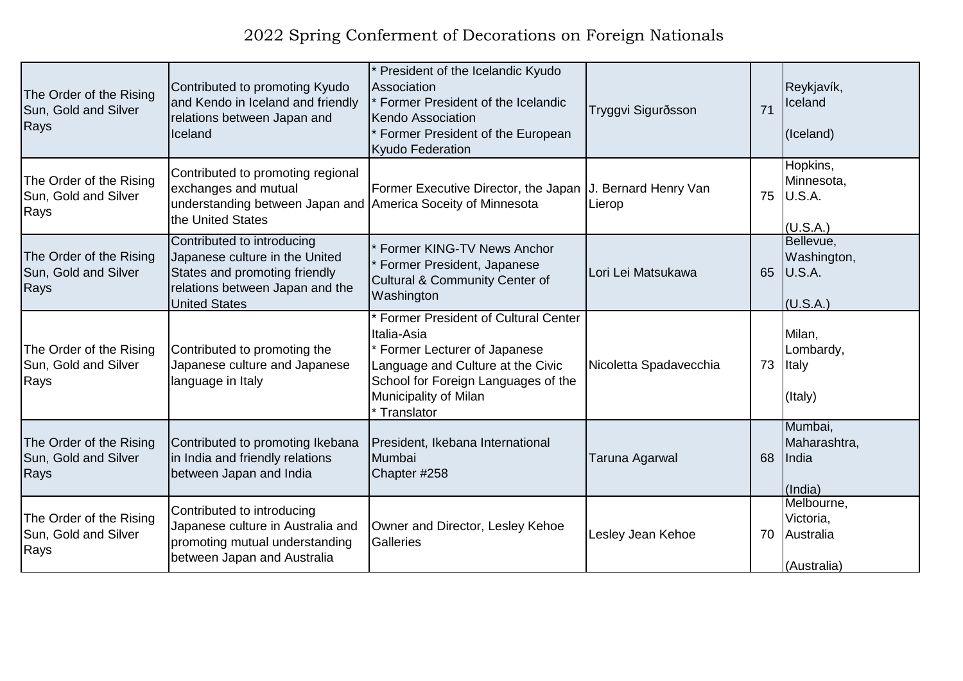| The Order of the Rising<br>Sun, Gold and Silver<br>Rays | Contributed to promoting Kyudo<br>and Kendo in Iceland and friendly<br>relations between Japan and<br>Iceland                                            | President of the Icelandic Kyudo<br>Association<br>Former President of the Icelandic<br>Kendo Association<br>Former President of the European<br><b>Kyudo Federation</b>                                      | Tryggvi Sigurðsson     | 71 | Reykjavík,<br>Iceland<br>(Iceland)                  |
|---------------------------------------------------------|----------------------------------------------------------------------------------------------------------------------------------------------------------|---------------------------------------------------------------------------------------------------------------------------------------------------------------------------------------------------------------|------------------------|----|-----------------------------------------------------|
| The Order of the Rising<br>Sun, Gold and Silver<br>Rays | Contributed to promoting regional<br>exchanges and mutual<br>understanding between Japan and America Soceity of Minnesota<br>the United States           | Former Executive Director, the Japan   J. Bernard Henry Van                                                                                                                                                   | Lierop                 | 75 | Hopkins,<br>Minnesota,<br>U.S.A.<br>(U.S.A.)        |
| The Order of the Rising<br>Sun, Gold and Silver<br>Rays | Contributed to introducing<br>Japanese culture in the United<br>States and promoting friendly<br>relations between Japan and the<br><b>United States</b> | Former KING-TV News Anchor<br>Former President, Japanese<br>Cultural & Community Center of<br>Washington                                                                                                      | Lori Lei Matsukawa     | 65 | Bellevue,<br>Washington,<br>U.S.A.<br>(U.S.A.)      |
| The Order of the Rising<br>Sun, Gold and Silver<br>Rays | Contributed to promoting the<br>Japanese culture and Japanese<br>language in Italy                                                                       | <b>Former President of Cultural Center</b><br>Italia-Asia<br>Former Lecturer of Japanese<br>Language and Culture at the Civic<br>School for Foreign Languages of the<br>Municipality of Milan<br>* Translator | Nicoletta Spadavecchia | 73 | Milan,<br>Lombardy,<br>Italy<br>(Italy)             |
| The Order of the Rising<br>Sun, Gold and Silver<br>Rays | Contributed to promoting Ikebana<br>in India and friendly relations<br>between Japan and India                                                           | President, Ikebana International<br>Mumbai<br>Chapter #258                                                                                                                                                    | <b>Taruna Agarwal</b>  | 68 | Mumbai,<br>Maharashtra,<br>India<br>(India)         |
| The Order of the Rising<br>Sun, Gold and Silver<br>Rays | Contributed to introducing<br>Japanese culture in Australia and<br>promoting mutual understanding<br>between Japan and Australia                         | Owner and Director, Lesley Kehoe<br>Galleries                                                                                                                                                                 | Lesley Jean Kehoe      | 70 | Melbourne,<br>Victoria,<br>Australia<br>(Australia) |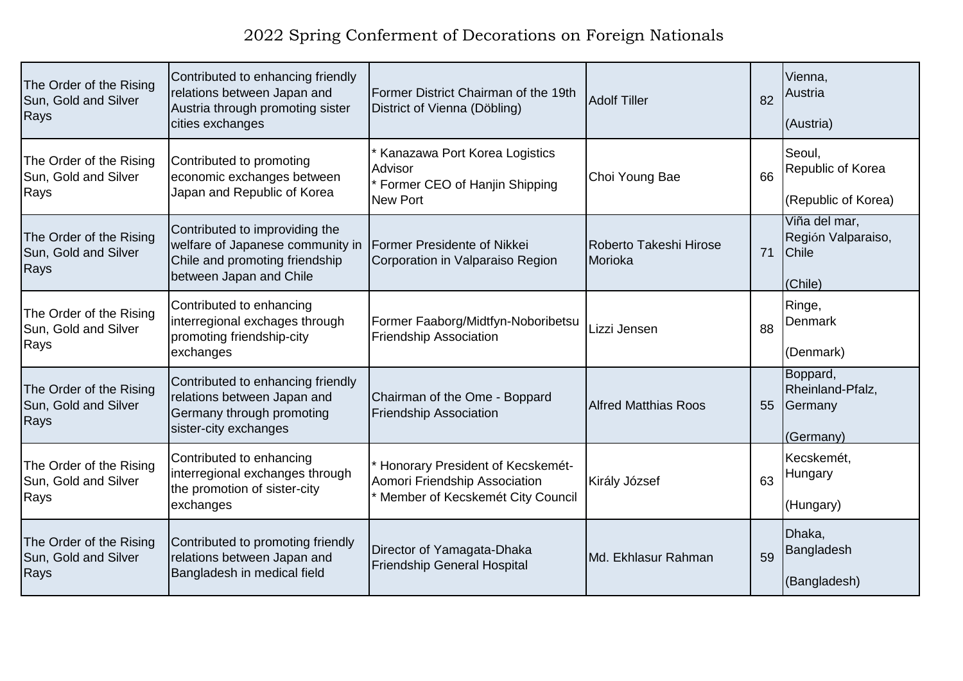| The Order of the Rising<br>Sun, Gold and Silver<br>Rays | Contributed to enhancing friendly<br>relations between Japan and<br>Austria through promoting sister<br>cities exchanges        | Former District Chairman of the 19th<br>District of Vienna (Döbling)                                  | <b>Adolf Tiller</b>               | 82 | Vienna,<br>Austria<br>(Austria)                                |
|---------------------------------------------------------|---------------------------------------------------------------------------------------------------------------------------------|-------------------------------------------------------------------------------------------------------|-----------------------------------|----|----------------------------------------------------------------|
| The Order of the Rising<br>Sun, Gold and Silver<br>Rays | Contributed to promoting<br>economic exchanges between<br>Japan and Republic of Korea                                           | Kanazawa Port Korea Logistics<br>Advisor<br>Former CEO of Hanjin Shipping<br><b>New Port</b>          | Choi Young Bae                    | 66 | Seoul,<br>Republic of Korea<br>(Republic of Korea)             |
| The Order of the Rising<br>Sun, Gold and Silver<br>Rays | Contributed to improviding the<br>welfare of Japanese community in<br>Chile and promoting friendship<br>between Japan and Chile | <b>Former Presidente of Nikkei</b><br>Corporation in Valparaiso Region                                | Roberto Takeshi Hirose<br>Morioka | 71 | Viña del mar,<br>Región Valparaiso,<br><b>Chile</b><br>(Chile) |
| The Order of the Rising<br>Sun, Gold and Silver<br>Rays | Contributed to enhancing<br>interregional exchages through<br>promoting friendship-city<br>exchanges                            | Former Faaborg/Midtfyn-Noboribetsu<br><b>Friendship Association</b>                                   | Lizzi Jensen                      | 88 | Ringe,<br>Denmark<br>(Denmark)                                 |
| The Order of the Rising<br>Sun, Gold and Silver<br>Rays | Contributed to enhancing friendly<br>relations between Japan and<br>Germany through promoting<br>sister-city exchanges          | Chairman of the Ome - Boppard<br><b>Friendship Association</b>                                        | <b>Alfred Matthias Roos</b>       | 55 | Boppard,<br>Rheinland-Pfalz,<br>Germany<br>(Germany)           |
| The Order of the Rising<br>Sun, Gold and Silver<br>Rays | Contributed to enhancing<br>interregional exchanges through<br>the promotion of sister-city<br>exchanges                        | Honorary President of Kecskemét-<br>Aomori Friendship Association<br>Member of Kecskemét City Council | Király József                     | 63 | Kecskemét,<br>Hungary<br>(Hungary)                             |
| The Order of the Rising<br>Sun, Gold and Silver<br>Rays | Contributed to promoting friendly<br>relations between Japan and<br>Bangladesh in medical field                                 | Director of Yamagata-Dhaka<br><b>Friendship General Hospital</b>                                      | Md. Ekhlasur Rahman               | 59 | Dhaka,<br>Bangladesh<br>(Bangladesh)                           |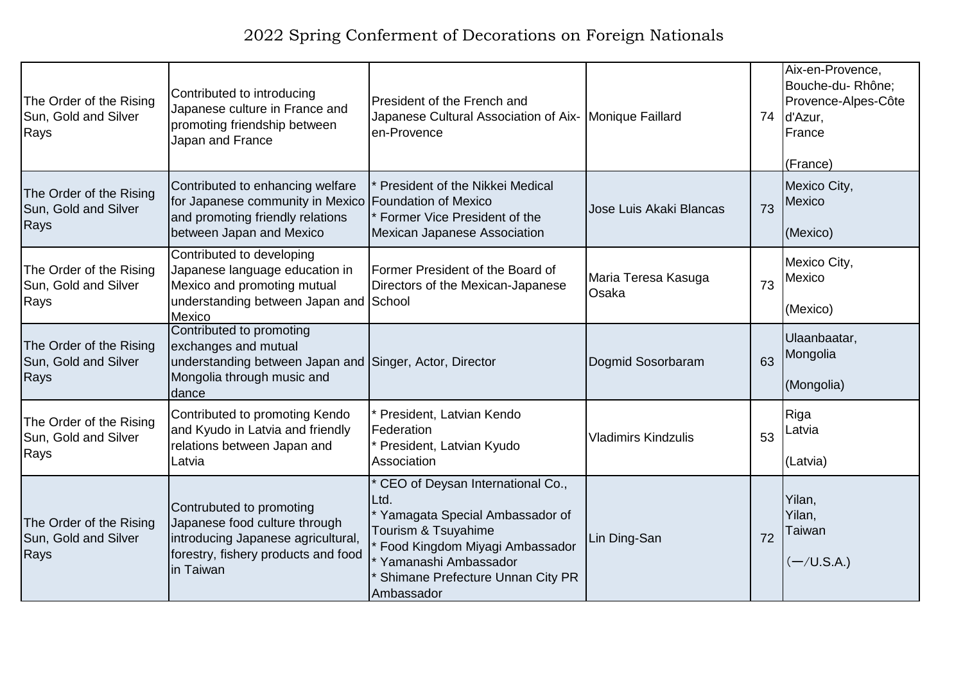| The Order of the Rising<br>Sun, Gold and Silver<br>Rays | Contributed to introducing<br>Japanese culture in France and<br>promoting friendship between<br>Japan and France                                          | President of the French and<br>Japanese Cultural Association of Aix- Monique Faillard<br>en-Provence                                                                                                            |                              |    | Aix-en-Provence,<br>Bouche-du-Rhône;<br>Provence-Alpes-Côte<br>74 d'Azur,<br>France<br>(France) |
|---------------------------------------------------------|-----------------------------------------------------------------------------------------------------------------------------------------------------------|-----------------------------------------------------------------------------------------------------------------------------------------------------------------------------------------------------------------|------------------------------|----|-------------------------------------------------------------------------------------------------|
| The Order of the Rising<br>Sun, Gold and Silver<br>Rays | Contributed to enhancing welfare<br>for Japanese community in Mexico Foundation of Mexico<br>and promoting friendly relations<br>between Japan and Mexico | President of the Nikkei Medical<br>Former Vice President of the<br><b>Mexican Japanese Association</b>                                                                                                          | Jose Luis Akaki Blancas      | 73 | Mexico City,<br>Mexico<br>(Mexico)                                                              |
| The Order of the Rising<br>Sun, Gold and Silver<br>Rays | Contributed to developing<br>Japanese language education in<br>Mexico and promoting mutual<br>understanding between Japan and School<br>Mexico            | Former President of the Board of<br>Directors of the Mexican-Japanese                                                                                                                                           | Maria Teresa Kasuga<br>Osaka | 73 | Mexico City,<br>Mexico<br>(Mexico)                                                              |
| The Order of the Rising<br>Sun, Gold and Silver<br>Rays | Contributed to promoting<br>exchanges and mutual<br>understanding between Japan and Singer, Actor, Director<br>Mongolia through music and<br>dance        |                                                                                                                                                                                                                 | Dogmid Sosorbaram            | 63 | Ulaanbaatar,<br>Mongolia<br>(Mongolia)                                                          |
| The Order of the Rising<br>Sun, Gold and Silver<br>Rays | Contributed to promoting Kendo<br>and Kyudo in Latvia and friendly<br>relations between Japan and<br>Latvia                                               | President, Latvian Kendo<br>Federation<br>President, Latvian Kyudo<br>Association                                                                                                                               | <b>Vladimirs Kindzulis</b>   | 53 | Riga<br>Latvia<br>(Latvia)                                                                      |
| The Order of the Rising<br>Sun, Gold and Silver<br>Rays | Contrubuted to promoting<br>Japanese food culture through<br>introducing Japanese agricultural,<br>forestry, fishery products and food<br>lin Taiwan      | CEO of Deysan International Co.,<br>Ltd.<br>* Yamagata Special Ambassador of<br>Tourism & Tsuyahime<br>Food Kingdom Miyagi Ambassador<br>Yamanashi Ambassador<br>Shimane Prefecture Unnan City PR<br>Ambassador | Lin Ding-San                 | 72 | Yilan,<br>Yilan,<br>Taiwan<br>$(-/U.S.A.)$                                                      |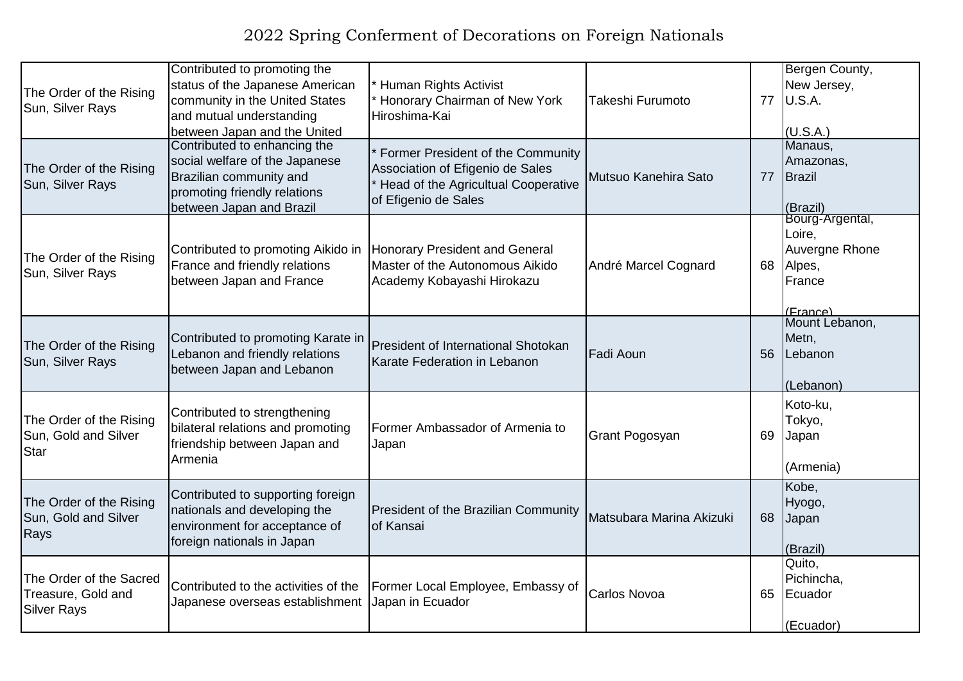| The Order of the Rising<br>Sun, Silver Rays                         | Contributed to promoting the<br>status of the Japanese American<br>community in the United States<br>and mutual understanding<br>between Japan and the United | Human Rights Activist<br>Honorary Chairman of New York<br>Hiroshima-Kai                                                              | Takeshi Furumoto         |    | Bergen County,<br>New Jersey,<br>77 <b>U.S.A.</b><br>(U.S.A.)               |
|---------------------------------------------------------------------|---------------------------------------------------------------------------------------------------------------------------------------------------------------|--------------------------------------------------------------------------------------------------------------------------------------|--------------------------|----|-----------------------------------------------------------------------------|
| The Order of the Rising<br>Sun, Silver Rays                         | Contributed to enhancing the<br>social welfare of the Japanese<br>Brazilian community and<br>promoting friendly relations<br>between Japan and Brazil         | Former President of the Community<br>Association of Efigenio de Sales<br>Head of the Agricultual Cooperative<br>of Efigenio de Sales | Mutsuo Kanehira Sato     | 77 | Manaus,<br>Amazonas,<br>Brazil<br>(Brazil)                                  |
| The Order of the Rising<br>Sun, Silver Rays                         | Contributed to promoting Aikido in<br>France and friendly relations<br>between Japan and France                                                               | Honorary President and General<br>Master of the Autonomous Aikido<br>Academy Kobayashi Hirokazu                                      | André Marcel Cognard     | 68 | Bourg-Argental,<br>Loire,<br>Auvergne Rhone<br>Alpes,<br>France<br>(France) |
| The Order of the Rising<br>Sun, Silver Rays                         | Contributed to promoting Karate in<br>Lebanon and friendly relations<br>between Japan and Lebanon                                                             | <b>President of International Shotokan</b><br>Karate Federation in Lebanon                                                           | Fadi Aoun                | 56 | Mount Lebanon,<br>Metn,<br>Lebanon<br>(Lebanon)                             |
| The Order of the Rising<br>Sun, Gold and Silver<br><b>Star</b>      | Contributed to strengthening<br>bilateral relations and promoting<br>friendship between Japan and<br>Armenia                                                  | Former Ambassador of Armenia to<br>Japan                                                                                             | <b>Grant Pogosyan</b>    | 69 | Koto-ku,<br>Tokyo,<br>Japan<br>(Armenia)                                    |
| The Order of the Rising<br>Sun, Gold and Silver<br>Rays             | Contributed to supporting foreign<br>nationals and developing the<br>environment for acceptance of<br>foreign nationals in Japan                              | <b>President of the Brazilian Community</b><br>of Kansai                                                                             | Matsubara Marina Akizuki | 68 | Kobe,<br>Hyogo,<br>Japan<br>(Brazil)                                        |
| The Order of the Sacred<br>Treasure, Gold and<br><b>Silver Rays</b> | Contributed to the activities of the<br>Japanese overseas establishment                                                                                       | Former Local Employee, Embassy of<br>Japan in Ecuador                                                                                | Carlos Novoa             | 65 | Quito,<br>Pichincha,<br>Ecuador<br>(Ecuador)                                |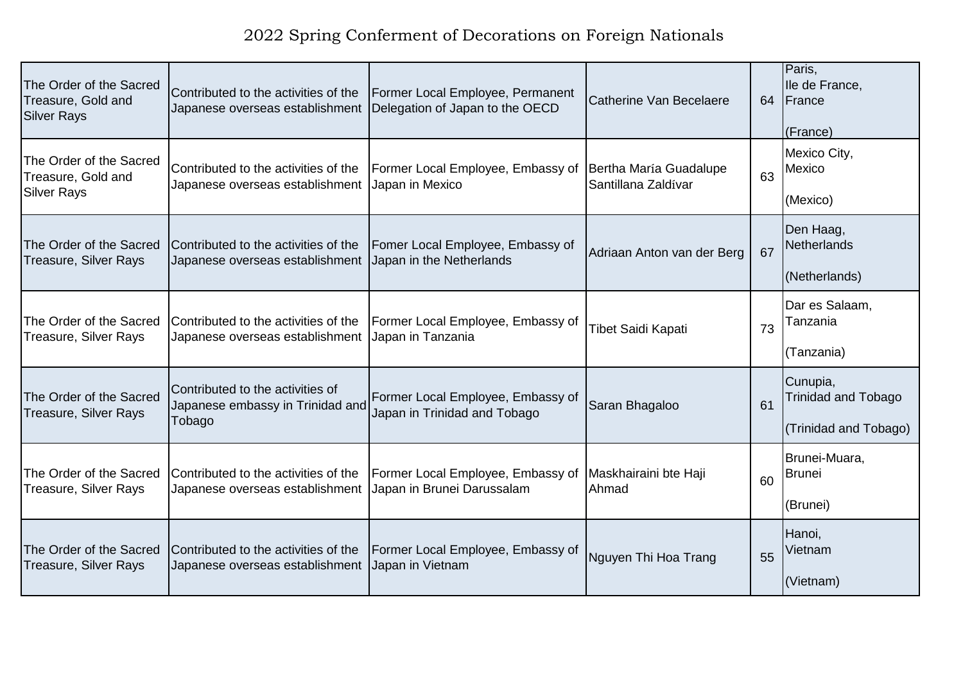| The Order of the Sacred<br>Treasure, Gold and<br><b>Silver Rays</b> | Contributed to the activities of the<br>Japanese overseas establishment        | Former Local Employee, Permanent<br>Delegation of Japan to the OECD | <b>Catherine Van Becelaere</b>                | 64 | Paris,<br>Ile de France,<br>France<br>(France)                  |
|---------------------------------------------------------------------|--------------------------------------------------------------------------------|---------------------------------------------------------------------|-----------------------------------------------|----|-----------------------------------------------------------------|
| The Order of the Sacred<br>Treasure, Gold and<br>Silver Rays        | Contributed to the activities of the<br>Japanese overseas establishment        | Former Local Employee, Embassy of<br>Japan in Mexico                | Bertha María Guadalupe<br>Santillana Zaldívar | 63 | Mexico City,<br>Mexico<br>(Mexico)                              |
| The Order of the Sacred<br>Treasure, Silver Rays                    | Contributed to the activities of the<br>Japanese overseas establishment        | Fomer Local Employee, Embassy of<br>Japan in the Netherlands        | Adriaan Anton van der Berg                    | 67 | Den Haag,<br><b>Netherlands</b><br>(Netherlands)                |
| The Order of the Sacred<br>Treasure, Silver Rays                    | Contributed to the activities of the<br>Japanese overseas establishment        | Former Local Employee, Embassy of<br>Japan in Tanzania              | <b>Tibet Saidi Kapati</b>                     | 73 | Dar es Salaam,<br>Tanzania<br>(Tanzania)                        |
| The Order of the Sacred<br>Treasure, Silver Rays                    | Contributed to the activities of<br>Japanese embassy in Trinidad and<br>Tobago | Former Local Employee, Embassy of<br>Japan in Trinidad and Tobago   | Saran Bhagaloo                                | 61 | Cunupia,<br><b>Trinidad and Tobago</b><br>(Trinidad and Tobago) |
| The Order of the Sacred<br>Treasure, Silver Rays                    | Contributed to the activities of the<br>Japanese overseas establishment        | Former Local Employee, Embassy of<br>Japan in Brunei Darussalam     | Maskhairaini bte Haji<br>Ahmad                | 60 | Brunei-Muara,<br><b>Brunei</b><br>(Brunei)                      |
| The Order of the Sacred<br>Treasure, Silver Rays                    | Contributed to the activities of the<br>Japanese overseas establishment        | Former Local Employee, Embassy of<br>Japan in Vietnam               | Nguyen Thi Hoa Trang                          | 55 | Hanoi,<br>Vietnam<br>(Vietnam)                                  |